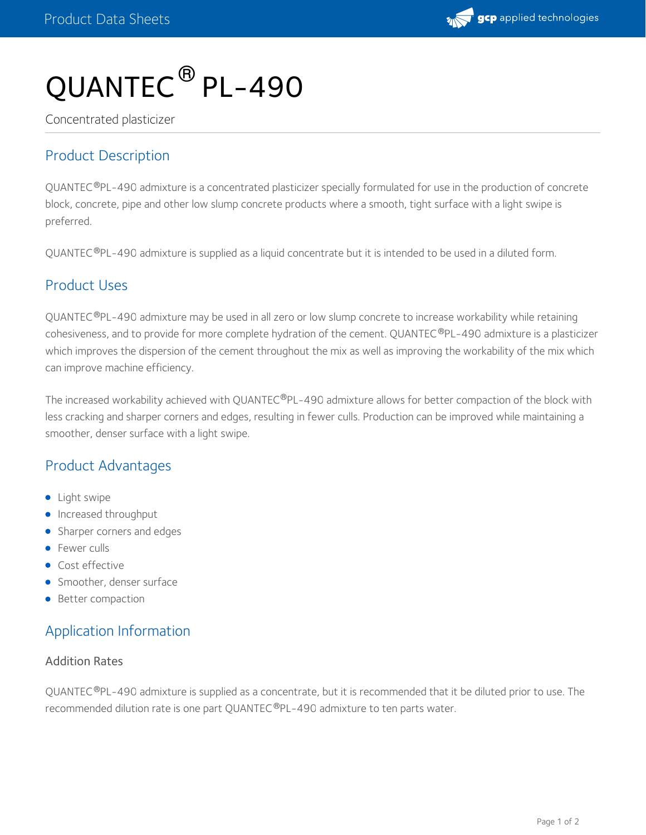

# QUANTEC ® PL-490

Concentrated plasticizer

## Product Description

QUANTEC®PL-490 admixture is a concentrated plasticizer specially formulated for use in the production of concrete block, concrete, pipe and other low slump concrete products where a smooth, tight surface with a light swipe is preferred.

QUANTEC®PL-490 admixture is supplied as a liquid concentrate but it is intended to be used in a diluted form.

### Product Uses

QUANTEC®PL-490 admixture may be used in all zero or low slump concrete to increase workability while retaining cohesiveness, and to provide for more complete hydration of the cement. QUANTEC®PL-490 admixture is a plasticizer which improves the dispersion of the cement throughout the mix as well as improving the workability of the mix which can improve machine efficiency.

The increased workability achieved with QUANTEC®PL-490 admixture allows for better compaction of the block with less cracking and sharper corners and edges, resulting in fewer culls. Production can be improved while maintaining a smoother, denser surface with a light swipe.

# Product Advantages

- Light swipe
- **Increased throughput**
- Sharper corners and edges
- **•** Fewer culls
- **Cost effective**
- Smoother, denser surface
- Better compaction

## Application Information

#### Addition Rates

QUANTEC®PL-490 admixture is supplied as a concentrate, but it is recommended that it be diluted prior to use. The recommended dilution rate is one part QUANTEC®PL-490 admixture to ten parts water.